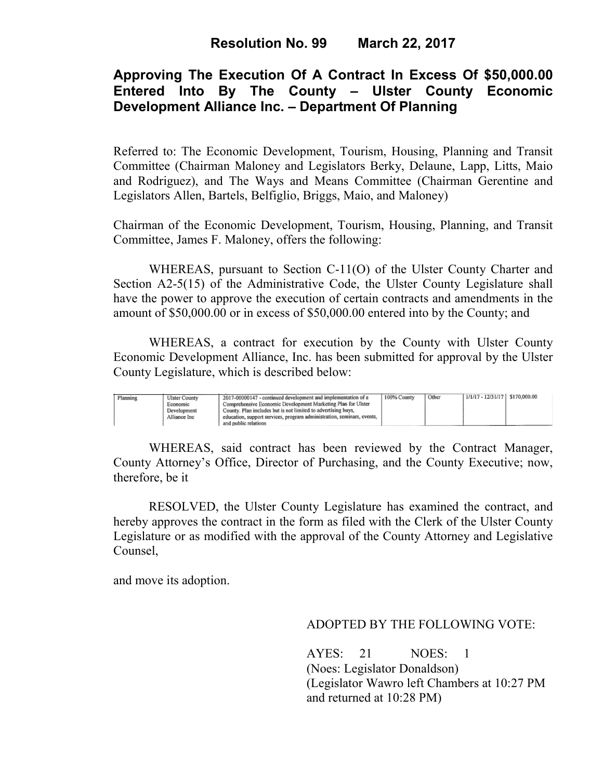# **Approving The Execution Of A Contract In Excess Of \$50,000.00 Entered Into By The County – Ulster County Economic Development Alliance Inc. – Department Of Planning**

Referred to: The Economic Development, Tourism, Housing, Planning and Transit Committee (Chairman Maloney and Legislators Berky, Delaune, Lapp, Litts, Maio and Rodriguez), and The Ways and Means Committee (Chairman Gerentine and Legislators Allen, Bartels, Belfiglio, Briggs, Maio, and Maloney)

Chairman of the Economic Development, Tourism, Housing, Planning, and Transit Committee, James F. Maloney, offers the following:

WHEREAS, pursuant to Section C-11(O) of the Ulster County Charter and Section A2-5(15) of the Administrative Code, the Ulster County Legislature shall have the power to approve the execution of certain contracts and amendments in the amount of \$50,000.00 or in excess of \$50,000.00 entered into by the County; and

 WHEREAS, a contract for execution by the County with Ulster County Economic Development Alliance, Inc. has been submitted for approval by the Ulster County Legislature, which is described below:

| Planning | <b>Ulster County</b>    | 2017-00000147 - continued development and implementation of a                                                                 | 100% County | Other | $1/1/17 - 12/31/17$ \$170,000.00 |  |
|----------|-------------------------|-------------------------------------------------------------------------------------------------------------------------------|-------------|-------|----------------------------------|--|
|          | Economic<br>Development | Comprehensive Economic Development Marketing Plan for Ulster<br>County. Plan includes but is not limited to advertising buys, |             |       |                                  |  |
|          | Alliance Inc.           | ' education, support services, program administration, seminars, events.                                                      |             |       |                                  |  |
|          |                         | and public relations                                                                                                          |             |       |                                  |  |

WHEREAS, said contract has been reviewed by the Contract Manager, County Attorney's Office, Director of Purchasing, and the County Executive; now, therefore, be it

RESOLVED, the Ulster County Legislature has examined the contract, and hereby approves the contract in the form as filed with the Clerk of the Ulster County Legislature or as modified with the approval of the County Attorney and Legislative Counsel,

and move its adoption.

## ADOPTED BY THE FOLLOWING VOTE:

 AYES: 21 NOES: 1 (Noes: Legislator Donaldson) (Legislator Wawro left Chambers at 10:27 PM and returned at 10:28 PM)